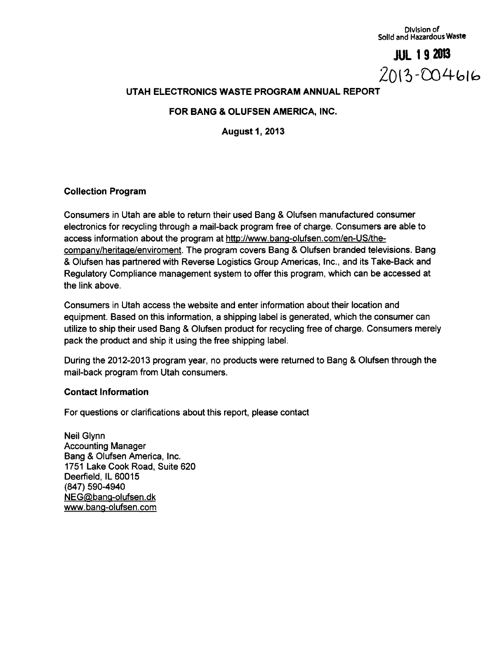Division of Solid and Hazardous Waste

**JUL 1 9<sup>2013</sup>**  $2013 - 004616$ 

## **UTAH ELECTRONICS WASTE PROGRAM ANNUAL REPORT**

**FOR BANG & OLUFSEN AMERICA, INC.** 

**August 1, 2013** 

## **Collection Program**

Consumers in Utah are able to return their used Bang & Olufsen manufactured consumer electronics for recycling through a mail-back program free of charge. Consumers are able to access information about the program at http://www.banq-olufsen.com/en-US/thecompanv/heritaqe/enviroment. The program covers Bang & Olufsen branded televisions. Bang & Olufsen has partnered with Reverse Logistics Group Americas, Inc., and its Take-Back and Regulatory Compliance management system to offer this program, which can be accessed at the link above.

Consumers in Utah access the website and enter information about their location and equipment. Based on this information, a shipping label is generated, which the consumer can utilize to ship their used Bang & Olufsen product for recycling free of charge. Consumers merely pack the product and ship it using the free shipping label.

During the 2012-2013 program year, no products were returned to Bang & Olufsen through the mail-back program from Utah consumers.

#### Contact Information

For questions or clarifications about this report, please contact

Neil Glynn Accounting Manager Bang & Olufsen America, Inc. 1751 Lake Cook Road, Suite 620 Deerfield, IL 60015 **(847) 590-4940**  NEG@banq-olufsen.dk www.banq-olufsen.com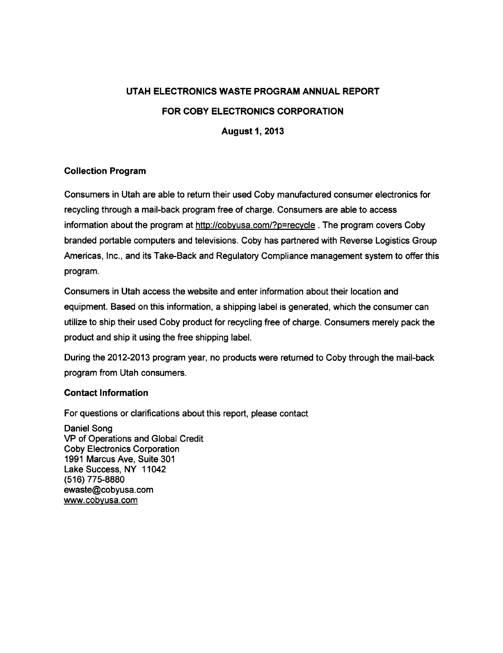# **UTAH ELECTRONICS WASTE PROGRAM ANNUAL REPORT FOR COBY ELECTRONICS CORPORATION**

**August 1, 2013** 

## **Collection Program**

Consumers in Utah are able to return their used Coby manufactured consumer electronics for recycling through a mail-back program free of charge. Consumers are able to access information about the program at http://cobyusa.com/?p=recycle. The program covers Coby branded portable computers and televisions. Coby has partnered with Reverse Logistics Group Americas, Inc., and its Take-Back and Regulatory Compliance management system to offer this program.

Consumers in Utah access the website and enter information about their location and equipment. Based on this information, a shipping label is generated, which the consumer can utilize to ship their used Coby product for recycling free of charge. Consumers merely pack the product and ship it using the free shipping label.

During the 2012-2013 program year, no products were returned to Coby through the mail-back program from Utah consumers.

## **Contact Information**

For questions or clarifications about this report, please contact

Daniel Song VP of Operations and Global Credit Coby Electronics Corporation 1991 Marcus Ave, Suite 301 Lake Success, NY 11042 (516) 775-8880 ewaste@cobyusa.com www.cobvusa.com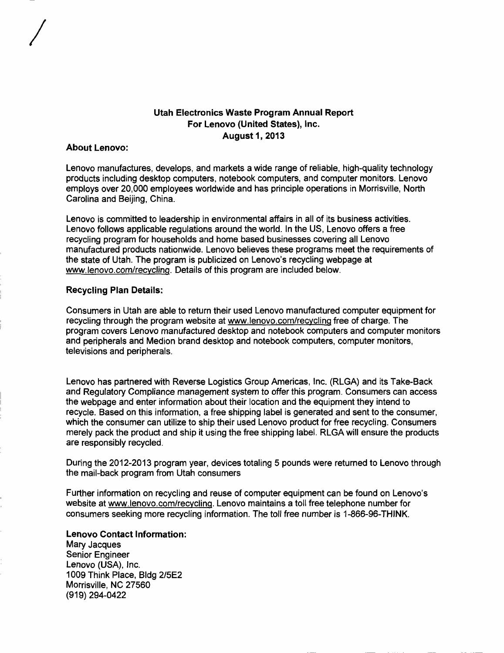## **Utah Electronics Waste Program Annual Report For Lenovo (United States), Inc. August 1, 2013**

#### **About Lenovo:**

Lenovo manufactures, develops, and markets a wide range of reliable, high-quality technology products including desktop computers, notebook computers, and computer monitors. Lenovo employs over 20,000 employees worldwide and has principle operations in Morrisville, North Carolina and Beijing, China.

Lenovo is committed to leadership in environmental affairs in all of its business activities. Lenovo follows applicable regulations around the world. In the US, Lenovo offers a free recycling program for households and home based businesses covering all Lenovo manufactured products nationwide. Lenovo believes these programs meet the requirements of the state of Utah. The program is publicized on Lenovo's recycling webpage at www.lenovo.com/recycling. Details of this program are included below.

#### **Recycling Plan Details:**

Consumers in Utah are able to return their used Lenovo manufactured computer equipment for recycling through the program website at www.lenovo.com/recvclina free of charge. The program covers Lenovo manufactured desktop and notebook computers and computer monitors and peripherals and Medion brand desktop and notebook computers, computer monitors, televisions and peripherals.

Lenovo has partnered with Reverse Logistics Group Americas, Inc. (RLGA) and its Take-Back and Regulatory Compliance management system to offer this program. Consumers can access the webpage and enter information about their location and the equipment they intend to recycle. Based on this information, a free shipping label is generated and sent to the consumer, which the consumer can utilize to ship their used Lenovo product for free recycling. Consumers merely pack the product and ship it using the free shipping label. RLGA will ensure the products are responsibly recycled.

During the 2012-2013 program year, devices totaling 5 pounds were returned to Lenovo through the mail-back program from Utah consumers

Further information on recycling and reuse of computer equipment can be found on Lenovo's website at www.lenovo.com/recvclinq. Lenovo maintains a toll free telephone number for consumers seeking more recycling information. The toll free number is 1-866-96-THINK.

**Lenovo Contact Information:**  Mary Jacques Senior Engineer Lenovo (USA), Inc. 1009 Think Place, Bldg 2/5E2 Morrisville, NC 27560 **(919) 294-0422**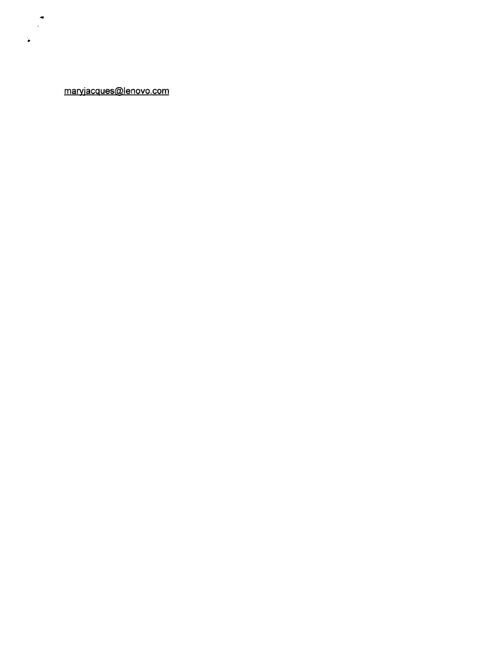maryjacques@lenovo.com

 $\ddot{\phantom{a}}$  $\mathcal{L}^{\pm}$ 

 $\ddot{\phantom{a}}$